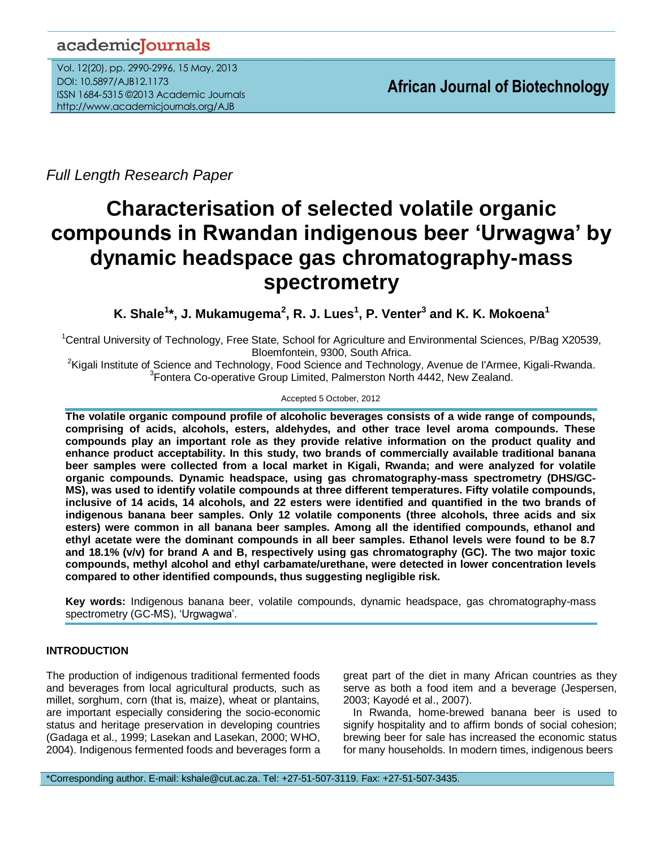## academicJournals

Vol. 12(20), pp. 2990-2996, 15 May, 2013 DOI: 10.5897/AJB12.1173 ISSN 1684-5315 ©2013 Academic Journals http://www.academicjournals.org/AJB

*Full Length Research Paper*

# **Characterisation of selected volatile organic compounds in Rwandan indigenous beer 'Urwagwa' by dynamic headspace gas chromatography-mass spectrometry**

**K. Shale<sup>1</sup> \*, J. Mukamugema<sup>2</sup> , R. J. Lues<sup>1</sup> , P. Venter<sup>3</sup> and K. K. Mokoena<sup>1</sup>**

<sup>1</sup>Central University of Technology, Free State, School for Agriculture and Environmental Sciences, P/Bag X20539, Bloemfontein, 9300, South Africa.

<sup>2</sup>Kigali Institute of Science and Technology, Food Science and Technology, Avenue de l'Armee, Kigali-Rwanda. <sup>3</sup> Fontera Co-operative Group Limited, Palmerston North 4442, New Zealand.

#### Accepted 5 October, 2012

**The volatile organic compound profile of alcoholic beverages consists of a wide range of compounds, comprising of acids, alcohols, esters, aldehydes, and other trace level aroma compounds. These compounds play an important role as they provide relative information on the product quality and enhance product acceptability. In this study, two brands of commercially available traditional banana beer samples were collected from a local market in Kigali, Rwanda; and were analyzed for volatile organic compounds. Dynamic headspace, using gas chromatography-mass spectrometry (DHS/GC-MS), was used to identify volatile compounds at three different temperatures. Fifty volatile compounds, inclusive of 14 acids, 14 alcohols, and 22 esters were identified and quantified in the two brands of indigenous banana beer samples. Only 12 volatile components (three alcohols, three acids and six esters) were common in all banana beer samples. Among all the identified compounds, ethanol and ethyl acetate were the dominant compounds in all beer samples. Ethanol levels were found to be 8.7 and 18.1% (v/v) for brand A and B, respectively using gas chromatography (GC). The two major toxic compounds, methyl alcohol and ethyl carbamate/urethane, were detected in lower concentration levels compared to other identified compounds, thus suggesting negligible risk.**

**Key words:** Indigenous banana beer, volatile compounds, dynamic headspace, gas chromatography-mass spectrometry (GC-MS), 'Urgwagwa'.

### **INTRODUCTION**

The production of indigenous traditional fermented foods and beverages from local agricultural products, such as millet, sorghum, corn (that is, maize), wheat or plantains, are important especially considering the socio-economic status and heritage preservation in developing countries (Gadaga et al., 1999; Lasekan and Lasekan, 2000; WHO, 2004). Indigenous fermented foods and beverages form a great part of the diet in many African countries as they serve as both a food item and a beverage (Jespersen, 2003; Kayodé et al., 2007).

In Rwanda, home-brewed banana beer is used to signify hospitality and to affirm bonds of social cohesion; brewing beer for sale has increased the economic status for many households. In modern times, indigenous beers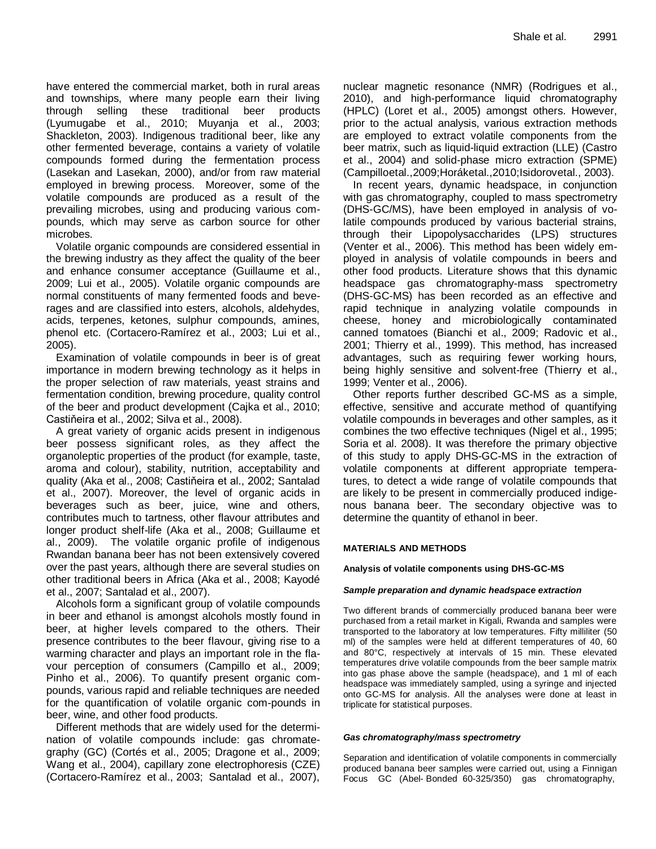have entered the commercial market, both in rural areas and townships, where many people earn their living through selling these traditional beer products (Lyumugabe et al., 2010; Muyanja et al., 2003; Shackleton, 2003). Indigenous traditional beer, like any other fermented beverage, contains a variety of volatile compounds formed during the fermentation process (Lasekan and Lasekan, 2000), and/or from raw material employed in brewing process. Moreover, some of the volatile compounds are produced as a result of the prevailing microbes, using and producing various compounds, which may serve as carbon source for other microbes.

Volatile organic compounds are considered essential in the brewing industry as they affect the quality of the beer and enhance consumer acceptance (Guillaume et al., 2009; Lui et al., 2005). Volatile organic compounds are normal constituents of many fermented foods and beverages and are classified into esters, alcohols, aldehydes, acids, terpenes, ketones, sulphur compounds, amines, phenol etc. (Cortacero-Ramírez et al., 2003; Lui et al., 2005).

Examination of volatile compounds in beer is of great importance in modern brewing technology as it helps in the proper selection of raw materials, yeast strains and fermentation condition, brewing procedure, quality control of the beer and product development (Cajka et al., 2010; Castiňeira et al., 2002; Silva et al., 2008).

A great variety of organic acids present in indigenous beer possess significant roles, as they affect the organoleptic properties of the product (for example, taste, aroma and colour), stability, nutrition, acceptability and quality (Aka et al., 2008; Castiňeira et al., 2002; Santalad et al., 2007). Moreover, the level of organic acids in beverages such as beer, juice, wine and others, contributes much to tartness, other flavour attributes and longer product shelf-life (Aka et al., 2008; Guillaume et al., 2009). The volatile organic profile of indigenous Rwandan banana beer has not been extensively covered over the past years, although there are several studies on other traditional beers in Africa (Aka et al., 2008; Kayodé et al., 2007; Santalad et al., 2007).

Alcohols form a significant group of volatile compounds in beer and ethanol is amongst alcohols mostly found in beer, at higher levels compared to the others. Their presence contributes to the beer flavour, giving rise to a warming character and plays an important role in the flavour perception of consumers (Campillo et al., 2009; Pinho et al., 2006). To quantify present organic compounds, various rapid and reliable techniques are needed for the quantification of volatile organic com-pounds in beer, wine, and other food products.

Different methods that are widely used for the determination of volatile compounds include: gas chromategraphy (GC) (Cortés et al., 2005; Dragone et al., 2009; Wang et al., 2004), capillary zone electrophoresis (CZE) (Cortacero-Ramírez et al., 2003; Santalad et al., 2007),

nuclear magnetic resonance (NMR) (Rodrigues et al., 2010), and high-performance liquid chromatography (HPLC) (Loret et al., 2005) amongst others. However, prior to the actual analysis, various extraction methods are employed to extract volatile components from the beer matrix, such as liquid-liquid extraction (LLE) (Castro et al., 2004) and solid-phase micro extraction (SPME) (Campilloetal.,2009;Horáketal.,2010;Isidorovetal., 2003).

In recent years, dynamic headspace, in conjunction with gas chromatography, coupled to mass spectrometry (DHS-GC/MS), have been employed in analysis of volatile compounds produced by various bacterial strains, through their Lipopolysaccharides (LPS) structures (Venter et al., 2006). This method has been widely employed in analysis of volatile compounds in beers and other food products. Literature shows that this dynamic headspace gas chromatography-mass spectrometry (DHS-GC-MS) has been recorded as an effective and rapid technique in analyzing volatile compounds in cheese, honey and microbiologically contaminated canned tomatoes (Bianchi et al., 2009; Radovic et al., 2001; Thierry et al., 1999). This method, has increased advantages, such as requiring fewer working hours, being highly sensitive and solvent-free (Thierry et al., 1999; Venter et al., 2006).

Other reports further described GC-MS as a simple, effective, sensitive and accurate method of quantifying volatile compounds in beverages and other samples, as it combines the two effective techniques (Nigel et al., 1995; Soria et al. 2008). It was therefore the primary objective of this study to apply DHS-GC-MS in the extraction of volatile components at different appropriate temperatures, to detect a wide range of volatile compounds that are likely to be present in commercially produced indigenous banana beer. The secondary objective was to determine the quantity of ethanol in beer.

#### **MATERIALS AND METHODS**

**Analysis of volatile components using DHS-GC-MS**

#### *Sample preparation and dynamic headspace extraction*

Two different brands of commercially produced banana beer were purchased from a retail market in Kigali, Rwanda and samples were transported to the laboratory at low temperatures. Fifty milliliter (50 ml) of the samples were held at different temperatures of 40, 60 and 80°C, respectively at intervals of 15 min. These elevated temperatures drive volatile compounds from the beer sample matrix into gas phase above the sample (headspace), and 1 ml of each headspace was immediately sampled, using a syringe and injected onto GC-MS for analysis. All the analyses were done at least in triplicate for statistical purposes.

#### *Gas chromatography/mass spectrometry*

Separation and identification of volatile components in commercially produced banana beer samples were carried out, using a Finnigan Focus GC (Abel- Bonded 60-325/350) gas chromatography,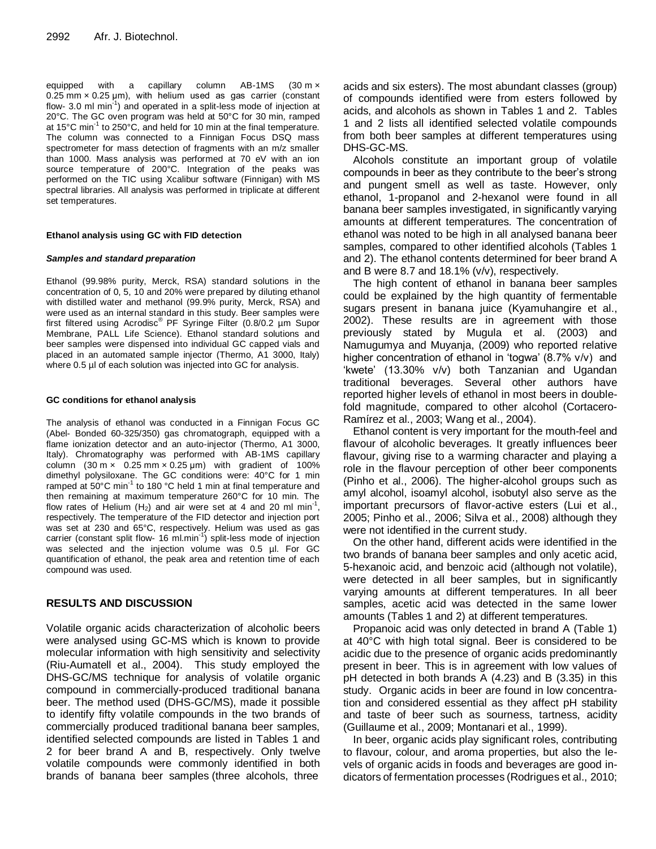equipped with a capillary column AB-1MS (30 m ×  $0.25$  mm  $\times$  0.25 µm), with helium used as gas carrier (constant flow- 3.0 ml min<sup>-1</sup>) and operated in a split-less mode of injection at 20°C. The GC oven program was held at 50°C for 30 min, ramped at 15°C min<sup>-1</sup> to 250°C, and held for 10 min at the final temperature. The column was connected to a Finnigan Focus DSQ mass spectrometer for mass detection of fragments with an m/z smaller than 1000. Mass analysis was performed at 70 eV with an ion source temperature of 200°C. Integration of the peaks was performed on the TIC using Xcalibur software (Finnigan) with MS spectral libraries. All analysis was performed in triplicate at different set temperatures.

#### **Ethanol analysis using GC with FID detection**

#### *Samples and standard preparation*

Ethanol (99.98% purity, Merck, RSA) standard solutions in the concentration of 0, 5, 10 and 20% were prepared by diluting ethanol with distilled water and methanol (99.9% purity, Merck, RSA) and were used as an internal standard in this study. Beer samples were first filtered using Acrodisc® PF Syringe Filter (0.8/0.2 µm Supor Membrane, PALL Life Science). Ethanol standard solutions and beer samples were dispensed into individual GC capped vials and placed in an automated sample injector (Thermo, A1 3000, Italy) where 0.5 µl of each solution was injected into GC for analysis.

#### **GC conditions for ethanol analysis**

The analysis of ethanol was conducted in a Finnigan Focus GC (Abel- Bonded 60-325/350) gas chromatograph, equipped with a flame ionization detector and an auto-injector (Thermo, A1 3000, Italy). Chromatography was performed with AB-1MS capillary column  $(30 \text{ m} \times 0.25 \text{ mm} \times 0.25 \text{ mm})$  with gradient of 100% dimethyl polysiloxane. The GC conditions were: 40°C for 1 min ramped at 50°C min<sup>-1</sup> to 180 °C held 1 min at final temperature and then remaining at maximum temperature 260°C for 10 min. The flow rates of Helium  $(H_2)$  and air were set at 4 and 20 ml min<sup>-1</sup>, respectively. The temperature of the FID detector and injection port was set at 230 and 65°C, respectively. Helium was used as gas carrier (constant split flow- 16 ml.min<sup>-1</sup>) split-less mode of injection was selected and the injection volume was 0.5 µl. For GC quantification of ethanol, the peak area and retention time of each compound was used.

#### **RESULTS AND DISCUSSION**

Volatile organic acids characterization of alcoholic beers were analysed using GC-MS which is known to provide molecular information with high sensitivity and selectivity (Riu-Aumatell et al., 2004). This study employed the DHS-GC/MS technique for analysis of volatile organic compound in commercially-produced traditional banana beer. The method used (DHS-GC/MS), made it possible to identify fifty volatile compounds in the two brands of commercially produced traditional banana beer samples, identified selected compounds are listed in Tables 1 and 2 for beer brand A and B, respectively. Only twelve volatile compounds were commonly identified in both brands of banana beer samples (three alcohols, three

acids and six esters). The most abundant classes (group) of compounds identified were from esters followed by acids, and alcohols as shown in Tables 1 and 2. Tables 1 and 2 lists all identified selected volatile compounds from both beer samples at different temperatures using DHS-GC-MS.

Alcohols constitute an important group of volatile compounds in beer as they contribute to the beer's strong and pungent smell as well as taste. However, only ethanol, 1-propanol and 2-hexanol were found in all banana beer samples investigated, in significantly varying amounts at different temperatures. The concentration of ethanol was noted to be high in all analysed banana beer samples, compared to other identified alcohols (Tables 1 and 2). The ethanol contents determined for beer brand A and B were 8.7 and 18.1% (v/v), respectively.

The high content of ethanol in banana beer samples could be explained by the high quantity of fermentable sugars present in banana juice (Kyamuhangire et al., 2002). These results are in agreement with those previously stated by Mugula et al. (2003) and Namugumya and Muyanja, (2009) who reported relative higher concentration of ethanol in 'togwa' (8.7% v/v) and 'kwete' (13.30% v/v) both Tanzanian and Ugandan traditional beverages. Several other authors have reported higher levels of ethanol in most beers in doublefold magnitude, compared to other alcohol (Cortacero-Ramírez et al., 2003; Wang et al., 2004).

Ethanol content is very important for the mouth-feel and flavour of alcoholic beverages. It greatly influences beer flavour, giving rise to a warming character and playing a role in the flavour perception of other beer components (Pinho et al., 2006). The higher-alcohol groups such as amyl alcohol, isoamyl alcohol, isobutyl also serve as the important precursors of flavor-active esters (Lui et al., 2005; Pinho et al., 2006; Silva et al., 2008) although they were not identified in the current study.

On the other hand, different acids were identified in the two brands of banana beer samples and only acetic acid, 5-hexanoic acid, and benzoic acid (although not volatile), were detected in all beer samples, but in significantly varying amounts at different temperatures. In all beer samples, acetic acid was detected in the same lower amounts (Tables 1 and 2) at different temperatures.

Propanoic acid was only detected in brand A (Table 1) at 40°C with high total signal. Beer is considered to be acidic due to the presence of organic acids predominantly present in beer. This is in agreement with low values of pH detected in both brands A (4.23) and B (3.35) in this study. Organic acids in beer are found in low concentration and considered essential as they affect pH stability and taste of beer such as sourness, tartness, acidity (Guillaume et al., 2009; Montanari et al., 1999).

In beer, organic acids play significant roles, contributing to flavour, colour, and aroma properties, but also the levels of organic acids in foods and beverages are good indicators of fermentation processes (Rodrigues et al., 2010;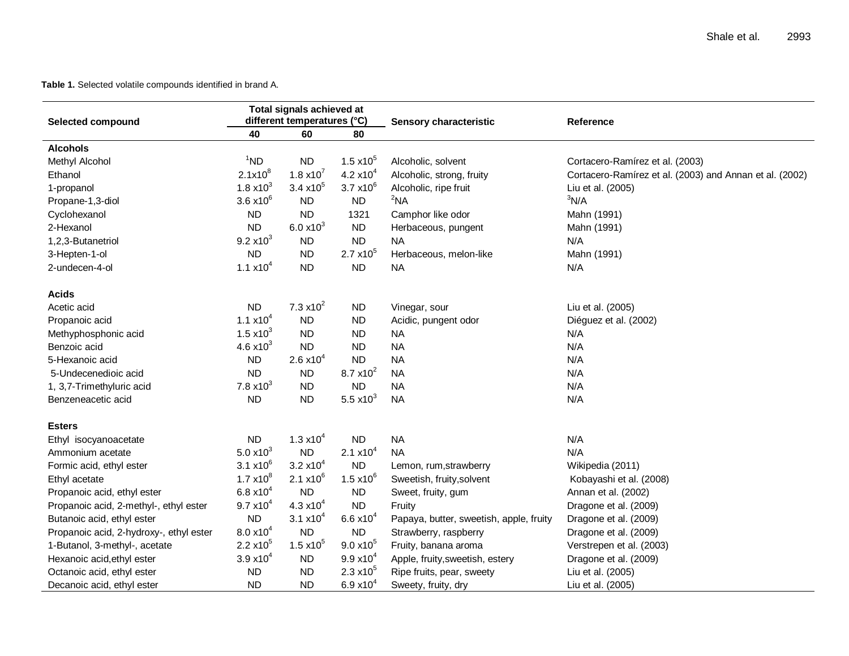#### **Table 1.** Selected volatile compounds identified in brand A.

| <b>Selected compound</b>                | Total signals achieved at<br>different temperatures (°C) |                     |                     | <b>Sensory characteristic</b>           | Reference                                               |  |
|-----------------------------------------|----------------------------------------------------------|---------------------|---------------------|-----------------------------------------|---------------------------------------------------------|--|
|                                         | 40                                                       | 60                  | 80                  |                                         |                                                         |  |
| <b>Alcohols</b>                         |                                                          |                     |                     |                                         |                                                         |  |
| Methyl Alcohol                          | $1^1$ ND                                                 | <b>ND</b>           | $1.5 \times 10^{5}$ | Alcoholic, solvent                      | Cortacero-Ramírez et al. (2003)                         |  |
| Ethanol                                 | $2.1x10^8$                                               | 1.8 $x10^7$         | 4.2 $\times 10^4$   | Alcoholic, strong, fruity               | Cortacero-Ramírez et al. (2003) and Annan et al. (2002) |  |
| 1-propanol                              | $1.8 \times 10^{3}$                                      | $3.4 \times 10^{5}$ | $3.7 \times 10^{6}$ | Alcoholic, ripe fruit                   | Liu et al. (2005)                                       |  |
| Propane-1,3-diol                        | $3.6 \times 10^{6}$                                      | <b>ND</b>           | <b>ND</b>           | $2$ NA                                  | 3N/A                                                    |  |
| Cyclohexanol                            | <b>ND</b>                                                | <b>ND</b>           | 1321                | Camphor like odor                       | Mahn (1991)                                             |  |
| 2-Hexanol                               | <b>ND</b>                                                | $6.0 x10^{3}$       | <b>ND</b>           | Herbaceous, pungent                     | Mahn (1991)                                             |  |
| 1,2,3-Butanetriol                       | $9.2 \times 10^{3}$                                      | <b>ND</b>           | <b>ND</b>           | NA.                                     | N/A                                                     |  |
| 3-Hepten-1-ol                           | <b>ND</b>                                                | <b>ND</b>           | $2.7 \times 10^{5}$ | Herbaceous, melon-like                  | Mahn (1991)                                             |  |
| 2-undecen-4-ol                          | 1.1 $\times 10^4$                                        | <b>ND</b>           | <b>ND</b>           | <b>NA</b>                               | N/A                                                     |  |
| <b>Acids</b>                            |                                                          |                     |                     |                                         |                                                         |  |
| Acetic acid                             | <b>ND</b>                                                | 7.3 $x10^2$         | <b>ND</b>           | Vinegar, sour                           | Liu et al. (2005)                                       |  |
| Propanoic acid                          | 1.1 $\times 10^{4}$                                      | <b>ND</b>           | <b>ND</b>           | Acidic, pungent odor                    | Diéguez et al. (2002)                                   |  |
| Methyphosphonic acid                    | 1.5 $x10^3$                                              | <b>ND</b>           | <b>ND</b>           | <b>NA</b>                               | N/A                                                     |  |
| Benzoic acid                            | 4.6 $x10^3$                                              | <b>ND</b>           | <b>ND</b>           | <b>NA</b>                               | N/A                                                     |  |
| 5-Hexanoic acid                         | <b>ND</b>                                                | $2.6 \times 10^{4}$ | <b>ND</b>           | <b>NA</b>                               | N/A                                                     |  |
| 5-Undecenedioic acid                    | <b>ND</b>                                                | <b>ND</b>           | $8.7 \times 10^{2}$ | <b>NA</b>                               | N/A                                                     |  |
| 1, 3,7-Trimethyluric acid               | 7.8 $x10^3$                                              | <b>ND</b>           | <b>ND</b>           | <b>NA</b>                               | N/A                                                     |  |
| Benzeneacetic acid                      | <b>ND</b>                                                | <b>ND</b>           | 5.5 $x10^3$         | <b>NA</b>                               | N/A                                                     |  |
| Esters                                  |                                                          |                     |                     |                                         |                                                         |  |
| Ethyl isocyanoacetate                   | <b>ND</b>                                                | 1.3 $x10^4$         | <b>ND</b>           | <b>NA</b>                               | N/A                                                     |  |
| Ammonium acetate                        | 5.0 $x10^3$                                              | <b>ND</b>           | $2.1 \times 10^{4}$ | <b>NA</b>                               | N/A                                                     |  |
| Formic acid, ethyl ester                | 3.1 $x10^6$                                              | $3.2 \times 10^{4}$ | <b>ND</b>           | Lemon, rum, strawberry                  | Wikipedia (2011)                                        |  |
| Ethyl acetate                           | $1.7 \times 10^{8}$                                      | $2.1 \times 10^{6}$ | $1.5 \times 10^{6}$ | Sweetish, fruity, solvent               | Kobayashi et al. (2008)                                 |  |
| Propanoic acid, ethyl ester             | 6.8 $\times$ 10 <sup>4</sup>                             | <b>ND</b>           | <b>ND</b>           | Sweet, fruity, gum                      | Annan et al. (2002)                                     |  |
| Propanoic acid, 2-methyl-, ethyl ester  | $9.7 \times 10^{4}$                                      | 4.3 $x10^4$         | <b>ND</b>           | Fruity                                  | Dragone et al. (2009)                                   |  |
| Butanoic acid, ethyl ester              | <b>ND</b>                                                | 3.1 $x10^4$         | $6.6 x10^{4}$       | Papaya, butter, sweetish, apple, fruity | Dragone et al. (2009)                                   |  |
| Propanoic acid, 2-hydroxy-, ethyl ester | $8.0 x10^{4}$                                            | <b>ND</b>           | ND                  | Strawberry, raspberry                   | Dragone et al. (2009)                                   |  |
| 1-Butanol, 3-methyl-, acetate           | $2.2 \times 10^{5}$                                      | $1.5 \times 10^{5}$ | $9.0 \times 10^{5}$ | Fruity, banana aroma                    | Verstrepen et al. (2003)                                |  |
| Hexanoic acid, ethyl ester              | $3.9 x10^{4}$                                            | <b>ND</b>           | $9.9 x10^{4}$       | Apple, fruity, sweetish, estery         | Dragone et al. (2009)                                   |  |
| Octanoic acid, ethyl ester              | <b>ND</b>                                                | <b>ND</b>           | $2.3 \times 10^{5}$ | Ripe fruits, pear, sweety               | Liu et al. (2005)                                       |  |
| Decanoic acid, ethyl ester              | <b>ND</b>                                                | <b>ND</b>           | $6.9 x10^{4}$       | Sweety, fruity, dry                     | Liu et al. (2005)                                       |  |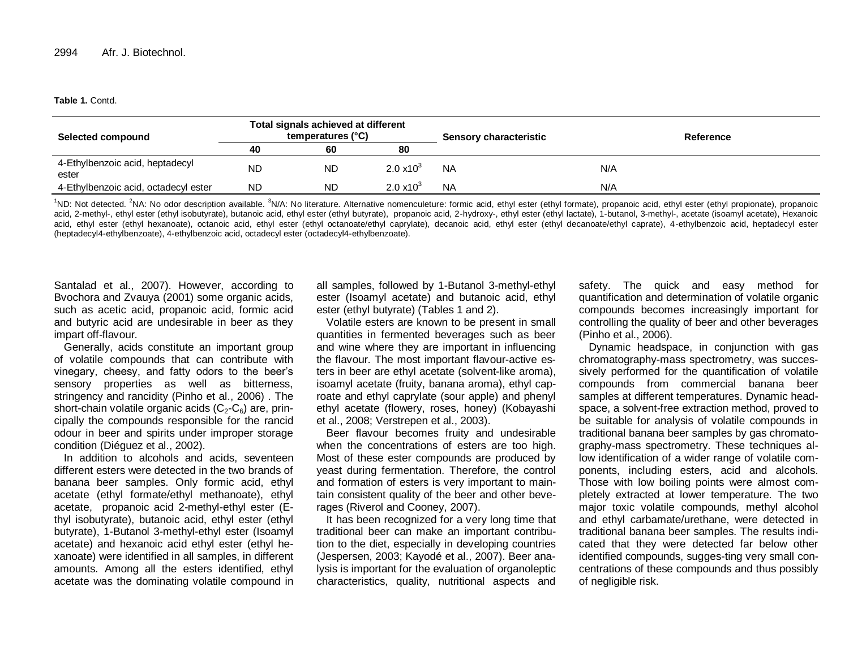#### **Table 1.** Contd.

| <b>Selected compound</b>                 |           | Total signals achieved at different<br>temperatures (°C) |                     | <b>Sensory characteristic</b> |     | Reference |
|------------------------------------------|-----------|----------------------------------------------------------|---------------------|-------------------------------|-----|-----------|
|                                          | 40        | 60                                                       | 80                  |                               |     |           |
| 4-Ethylbenzoic acid, heptadecyl<br>ester | <b>ND</b> | <b>ND</b>                                                | $2.0 \times 10^{3}$ | <b>NA</b>                     | N/A |           |
| 4-Ethylbenzoic acid, octadecyl ester     | <b>ND</b> | <b>ND</b>                                                | $2.0 \times 10^{3}$ | <b>NA</b>                     | N/A |           |

<sup>1</sup>ND: Not detected. <sup>2</sup>NA: No odor description available. <sup>3</sup>N/A: No literature. Alternative nomenculeture: formic acid, ethyl ester (ethyl formate), propanoic acid, ethyl ester (ethyl propionate), propanoic acid, 2-methyl-, ethyl ester (ethyl isobutyrate), butanoic acid, ethyl ester (ethyl butyrate), propanoic acid, 2-hydroxy-, ethyl ester (ethyl lactate), 1-butanol, 3-methyl-, acetate (isoamyl acetate), Hexanoic acid, ethyl ester (ethyl hexanoate), octanoic acid, ethyl ester (ethyl octanoate/ethyl caprylate), decanoic acid, ethyl ester (ethyl decanoate/ethyl caprate), 4-ethylbenzoic acid, heptadecyl ester (heptadecyl4-ethylbenzoate), 4-ethylbenzoic acid, octadecyl ester (octadecyl4-ethylbenzoate).

Santalad et al., 2007). However, according to Bvochora and Zvauya (2001) some organic acids, such as acetic acid, propanoic acid, formic acid and butyric acid are undesirable in beer as they impart off-flavour.

Generally, acids constitute an important group of volatile compounds that can contribute with vinegary, cheesy, and fatty odors to the beer's sensory properties as well as bitterness, stringency and rancidity (Pinho et al., 2006) . The short-chain volatile organic acids  $(C_2-C_6)$  are, principally the compounds responsible for the rancid odour in beer and spirits under improper storage condition (Diéguez et al., 2002).

In addition to alcohols and acids, seventeen different esters were detected in the two brands of banana beer samples. Only formic acid, ethyl acetate (ethyl formate/ethyl methanoate), ethyl acetate, propanoic acid 2-methyl-ethyl ester (Ethyl isobutyrate), butanoic acid, ethyl ester (ethyl butyrate), 1-Butanol 3-methyl-ethyl ester (Isoamyl acetate) and hexanoic acid ethyl ester (ethyl hexanoate) were identified in all samples, in different amounts. Among all the esters identified, ethyl acetate was the dominating volatile compound in all samples, followed by 1-Butanol 3-methyl-ethyl ester (Isoamyl acetate) and butanoic acid, ethyl ester (ethyl butyrate) (Tables 1 and 2).

Volatile esters are known to be present in small quantities in fermented beverages such as beer and wine where they are important in influencing the flavour. The most important flavour-active esters in beer are ethyl acetate (solvent-like aroma), isoamyl acetate (fruity, banana aroma), ethyl caproate and ethyl caprylate (sour apple) and phenyl ethyl acetate (flowery, roses, honey) (Kobayashi et al., 2008; Verstrepen et al., 2003).

Beer flavour becomes fruity and undesirable when the concentrations of esters are too high. Most of these ester compounds are produced by yeast during fermentation. Therefore, the control and formation of esters is very important to maintain consistent quality of the beer and other beverages (Riverol and Cooney, 2007).

It has been recognized for a very long time that traditional beer can make an important contribution to the diet, especially in developing countries (Jespersen, 2003; Kayodé et al., 2007). Beer analysis is important for the evaluation of organoleptic characteristics, quality, nutritional aspects and

safety. The quick and easy method for quantification and determination of volatile organic compounds becomes increasingly important for controlling the quality of beer and other beverages (Pinho et al., 2006).

Dynamic headspace, in conjunction with gas chromatography-mass spectrometry, was successively performed for the quantification of volatile compounds from commercial banana beer samples at different temperatures. Dynamic headspace, a solvent-free extraction method, proved to be suitable for analysis of volatile compounds in traditional banana beer samples by gas chromatography-mass spectrometry. These techniques allow identification of a wider range of volatile components, including esters, acid and alcohols. Those with low boiling points were almost completely extracted at lower temperature. The two major toxic volatile compounds, methyl alcohol and ethyl carbamate/urethane, were detected in traditional banana beer samples. The results indicated that they were detected far below other identified compounds, sugges-ting very small concentrations of these compounds and thus possibly of negligible risk.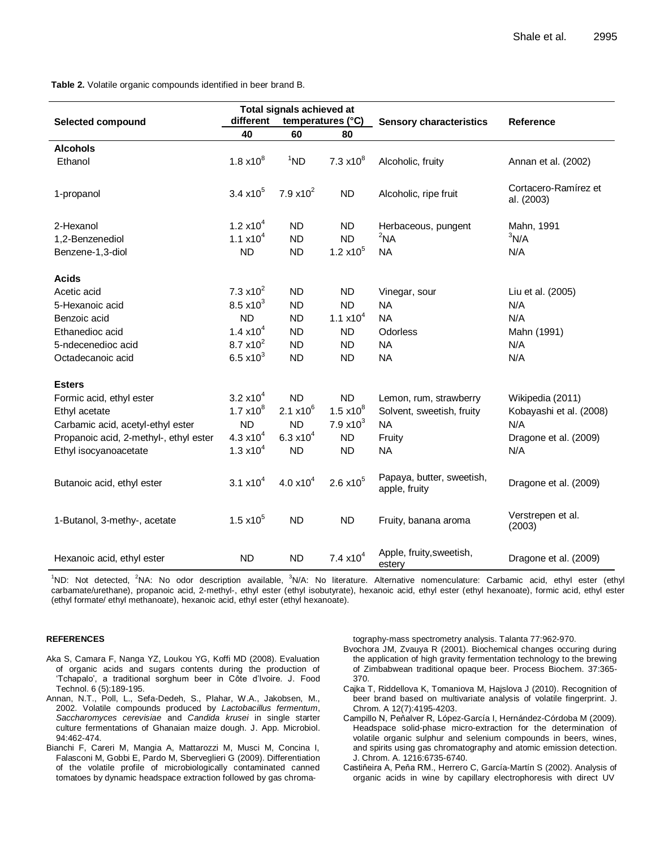**Table 2.** Volatile organic compounds identified in beer brand B.

| Selected compound                      | Total signals achieved at<br>different<br>temperatures (°C) |                      |                     | <b>Sensory characteristics</b>             | <b>Reference</b>                   |
|----------------------------------------|-------------------------------------------------------------|----------------------|---------------------|--------------------------------------------|------------------------------------|
|                                        | 40                                                          | 60                   | 80                  |                                            |                                    |
| <b>Alcohols</b>                        |                                                             |                      |                     |                                            |                                    |
| Ethanol                                | $1.8 \times 10^{8}$                                         | $1^1$ ND             | $7.3 \times 10^8$   | Alcoholic, fruity                          | Annan et al. (2002)                |
| 1-propanol                             | $3.4 \times 10^{5}$                                         | 7.9 $x10^2$          | <b>ND</b>           | Alcoholic, ripe fruit                      | Cortacero-Ramírez et<br>al. (2003) |
| 2-Hexanol                              | 1.2 $x10^4$                                                 | <b>ND</b>            | ND                  | Herbaceous, pungent                        | Mahn, 1991                         |
| 1,2-Benzenediol                        | 1.1 $x10^4$                                                 | <b>ND</b>            | <b>ND</b>           | $2$ NA                                     | 3N/A                               |
| Benzene-1,3-diol                       | <b>ND</b>                                                   | <b>ND</b>            | $1.2 \times 10^5$   | <b>NA</b>                                  | N/A                                |
| <b>Acids</b>                           |                                                             |                      |                     |                                            |                                    |
| Acetic acid                            | 7.3 $x10^2$                                                 | <b>ND</b>            | <b>ND</b>           | Vinegar, sour                              | Liu et al. (2005)                  |
| 5-Hexanoic acid                        | $8.5 \times 10^{3}$                                         | <b>ND</b>            | <b>ND</b>           | <b>NA</b>                                  | N/A                                |
| Benzoic acid                           | <b>ND</b>                                                   | <b>ND</b>            | 1.1 $x10^4$         | <b>NA</b>                                  | N/A                                |
| Ethanedioc acid                        | $1.4 \times 10^{4}$                                         | <b>ND</b>            | <b>ND</b>           | Odorless                                   | Mahn (1991)                        |
| 5-ndecenedioc acid                     | $8.7 \times 10^{2}$                                         | <b>ND</b>            | <b>ND</b>           | <b>NA</b>                                  | N/A                                |
| Octadecanoic acid                      | 6.5 $x10^3$                                                 | <b>ND</b>            | <b>ND</b>           | <b>NA</b>                                  | N/A                                |
| <b>Esters</b>                          |                                                             |                      |                     |                                            |                                    |
| Formic acid, ethyl ester               | $3.2 \times 10^{4}$                                         | <b>ND</b>            | <b>ND</b>           | Lemon, rum, strawberry                     | Wikipedia (2011)                   |
| Ethyl acetate                          | $1.7 \times 10^{8}$                                         | $2.1 \times 10^{6}$  | $1.5 \times 10^{8}$ | Solvent, sweetish, fruity                  | Kobayashi et al. (2008)            |
| Carbamic acid, acetyl-ethyl ester      | <b>ND</b>                                                   | <b>ND</b>            | $7.9 \times 10^{3}$ | <b>NA</b>                                  | N/A                                |
| Propanoic acid, 2-methyl-, ethyl ester | 4.3 $x10^4$                                                 | 6.3 $x10^4$          | <b>ND</b>           | Fruity                                     | Dragone et al. (2009)              |
| Ethyl isocyanoacetate                  | $1.3 \times 10^{4}$                                         | <b>ND</b>            | <b>ND</b>           | <b>NA</b>                                  | N/A                                |
| Butanoic acid, ethyl ester             | $3.1 \times 10^{4}$                                         | 4.0 x10 <sup>4</sup> | $2.6 \times 10^5$   | Papaya, butter, sweetish,<br>apple, fruity | Dragone et al. (2009)              |
| 1-Butanol, 3-methy-, acetate           | $1.5 \times 10^{5}$                                         | <b>ND</b>            | <b>ND</b>           | Fruity, banana aroma                       | Verstrepen et al.<br>(2003)        |
| Hexanoic acid, ethyl ester             | <b>ND</b>                                                   | <b>ND</b>            | $7.4 \times 10^{4}$ | Apple, fruity, sweetish,<br>estery         | Dragone et al. (2009)              |

<sup>1</sup>ND: Not detected, <sup>2</sup>NA: No odor description available, <sup>3</sup>N/A: No literature. Alternative nomenculature: Carbamic acid, ethyl ester (ethyl carbamate/urethane), propanoic acid, 2-methyl-, ethyl ester (ethyl isobutyrate), hexanoic acid, ethyl ester (ethyl hexanoate), formic acid, ethyl ester (ethyl formate/ ethyl methanoate), hexanoic acid, ethyl ester (ethyl hexanoate).

#### **REFERENCES**

- Aka S, Camara F, Nanga YZ, Loukou YG, Koffi MD (2008). Evaluation of organic acids and sugars contents during the production of 'Tchapalo', a traditional sorghum beer in Côte d'Ivoire. J. Food Technol. 6 (5):189-195.
- Annan, N.T., Poll, L., Sefa-Dedeh, S., Plahar, W.A., Jakobsen, M., 2002. Volatile compounds produced by *Lactobacillus fermentum*, *Saccharomyces cerevisiae* and *Candida krusei* in single starter culture fermentations of Ghanaian maize dough. J. App. Microbiol. 94:462-474.
- Bianchi F, Careri M, Mangia A, Mattarozzi M, Musci M, Concina I, Falasconi M, Gobbi E, Pardo M, Sberveglieri G (2009). Differentiation of the volatile profile of microbiologically contaminated canned tomatoes by dynamic headspace extraction followed by gas chroma-

tography-mass spectrometry analysis. Talanta 77:962-970.

- Bvochora JM, Zvauya R (2001). Biochemical changes occuring during the application of high gravity fermentation technology to the brewing of Zimbabwean traditional opaque beer. Process Biochem. 37:365- 370.
- Cajka T, Riddellova K, Tomaniova M, Hajslova J (2010). Recognition of beer brand based on multivariate analysis of volatile fingerprint. J. Chrom. A 12(7):4195-4203.
- Campillo N, Peňalver R, Lόpez-García I, Hernández-Córdoba M (2009). Headspace solid-phase micro-extraction for the determination of volatile organic sulphur and selenium compounds in beers, wines, and spirits using gas chromatography and atomic emission detection. J. Chrom. A. 1216:6735-6740.
- Castiňeira A, Peňa RM., Herrero C, García-Martín S (2002). Analysis of organic acids in wine by capillary electrophoresis with direct UV